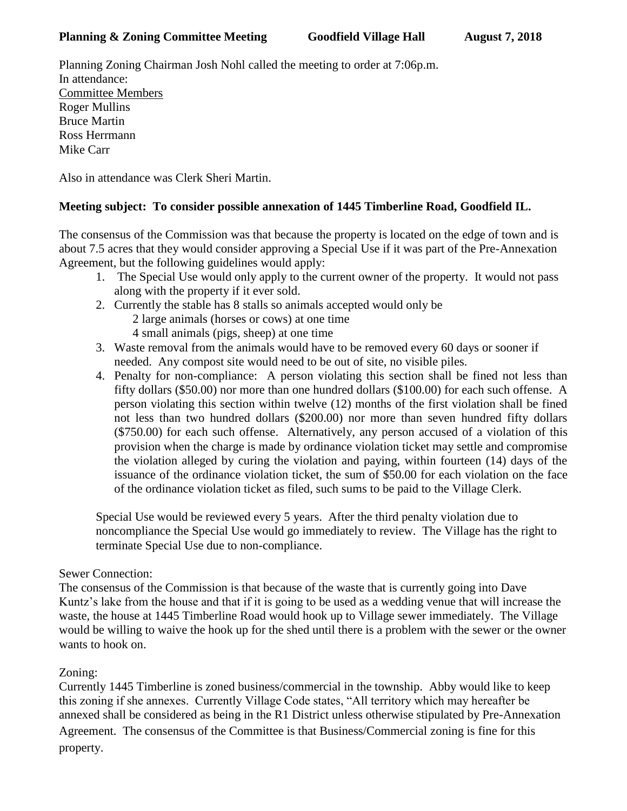## **Planning & Zoning Committee Meeting Goodfield Village Hall August 7, 2018**

Planning Zoning Chairman Josh Nohl called the meeting to order at 7:06p.m. In attendance: Committee Members Roger Mullins Bruce Martin Ross Herrmann Mike Carr

Also in attendance was Clerk Sheri Martin.

## **Meeting subject: To consider possible annexation of 1445 Timberline Road, Goodfield IL.**

The consensus of the Commission was that because the property is located on the edge of town and is about 7.5 acres that they would consider approving a Special Use if it was part of the Pre-Annexation Agreement, but the following guidelines would apply:

- 1. The Special Use would only apply to the current owner of the property. It would not pass along with the property if it ever sold.
- 2. Currently the stable has 8 stalls so animals accepted would only be 2 large animals (horses or cows) at one time 4 small animals (pigs, sheep) at one time
- 3. Waste removal from the animals would have to be removed every 60 days or sooner if needed. Any compost site would need to be out of site, no visible piles.
- 4. Penalty for non-compliance: A person violating this section shall be fined not less than fifty dollars (\$50.00) nor more than one hundred dollars (\$100.00) for each such offense. A person violating this section within twelve (12) months of the first violation shall be fined not less than two hundred dollars (\$200.00) nor more than seven hundred fifty dollars (\$750.00) for each such offense. Alternatively, any person accused of a violation of this provision when the charge is made by ordinance violation ticket may settle and compromise the violation alleged by curing the violation and paying, within fourteen (14) days of the issuance of the ordinance violation ticket, the sum of \$50.00 for each violation on the face of the ordinance violation ticket as filed, such sums to be paid to the Village Clerk.

Special Use would be reviewed every 5 years. After the third penalty violation due to noncompliance the Special Use would go immediately to review. The Village has the right to terminate Special Use due to non-compliance.

## Sewer Connection:

The consensus of the Commission is that because of the waste that is currently going into Dave Kuntz's lake from the house and that if it is going to be used as a wedding venue that will increase the waste, the house at 1445 Timberline Road would hook up to Village sewer immediately. The Village would be willing to waive the hook up for the shed until there is a problem with the sewer or the owner wants to hook on.

## Zoning:

Currently 1445 Timberline is zoned business/commercial in the township. Abby would like to keep this zoning if she annexes. Currently Village Code states, "All territory which may hereafter be annexed shall be considered as being in the R1 District unless otherwise stipulated by Pre-Annexation Agreement. The consensus of the Committee is that Business/Commercial zoning is fine for this property.